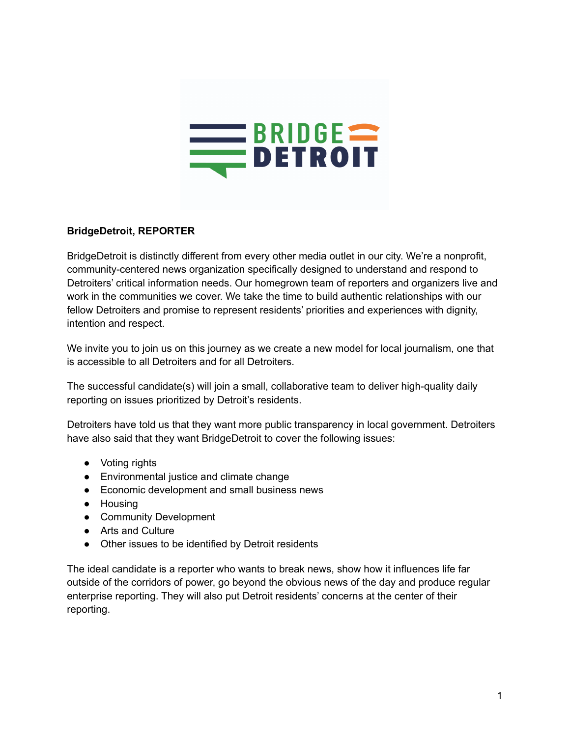

## **BridgeDetroit, REPORTER**

BridgeDetroit is distinctly different from every other media outlet in our city. We're a nonprofit, community-centered news organization specifically designed to understand and respond to Detroiters' critical information needs. Our homegrown team of reporters and organizers live and work in the communities we cover. We take the time to build authentic relationships with our fellow Detroiters and promise to represent residents' priorities and experiences with dignity, intention and respect.

We invite you to join us on this journey as we create a new model for local journalism, one that is accessible to all Detroiters and for all Detroiters.

The successful candidate(s) will join a small, collaborative team to deliver high-quality daily reporting on issues prioritized by Detroit's residents.

Detroiters have told us that they want more public transparency in local government. Detroiters have also said that they want BridgeDetroit to cover the following issues:

- Voting rights
- Environmental justice and climate change
- Economic development and small business news
- Housing
- Community Development
- Arts and Culture
- Other issues to be identified by Detroit residents

The ideal candidate is a reporter who wants to break news, show how it influences life far outside of the corridors of power, go beyond the obvious news of the day and produce regular enterprise reporting. They will also put Detroit residents' concerns at the center of their reporting.